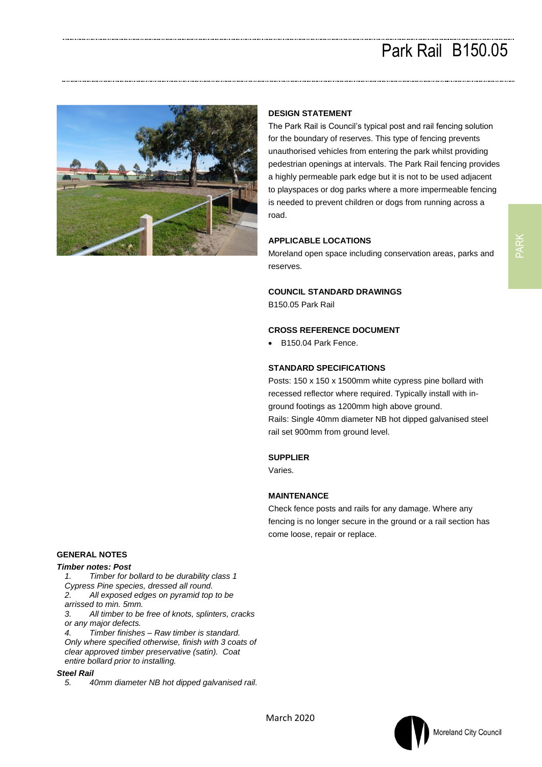# Park Rail B150.05



## **DESIGN STATEMENT**

The Park Rail is Council's typical post and rail fencing solution for the boundary of reserves. This type of fencing prevents unauthorised vehicles from entering the park whilst providing pedestrian openings at intervals. The Park Rail fencing provides a highly permeable park edge but it is not to be used adjacent to playspaces or dog parks where a more impermeable fencing is needed to prevent children or dogs from running across a road.

### **APPLICABLE LOCATIONS**

Moreland open space including conservation areas, parks and reserves.

### **COUNCIL STANDARD DRAWINGS**

B150.05 Park Rail

## **CROSS REFERENCE DOCUMENT**

• B150.04 Park Fence.

#### **STANDARD SPECIFICATIONS**

Posts: 150 x 150 x 1500mm white cypress pine bollard with recessed reflector where required. Typically install with inground footings as 1200mm high above ground. Rails: Single 40mm diameter NB hot dipped galvanised steel rail set 900mm from ground level.

#### **SUPPLIER**

Varies.

### **MAINTENANCE**

Check fence posts and rails for any damage. Where any fencing is no longer secure in the ground or a rail section has come loose, repair or replace.

# **GENERAL NOTES**

#### *Timber notes: Post*

*1. Timber for bollard to be durability class 1* 

- *Cypress Pine species, dressed all round.*
- *2. All exposed edges on pyramid top to be arrissed to min. 5mm.*
- *3. All timber to be free of knots, splinters, cracks or any major defects.*

*4. Timber finishes – Raw timber is standard. Only where specified otherwise, finish with 3 coats of clear approved timber preservative (satin). Coat entire bollard prior to installing.*

#### *Steel Rail*

*5. 40mm diameter NB hot dipped galvanised rail.*